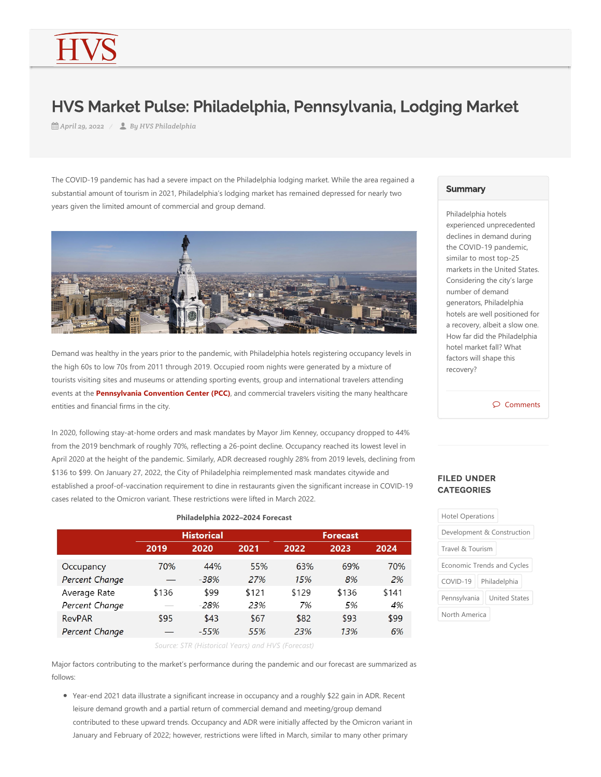## HVS Market Pulse: Philadelphia, Pennsylvania, Lodging Market

*April 29, 2022 By HVS Philadelphia*

The COVID-19 pandemic has had a severe impact on the Philadelphia lodging market. While the area regained a substantial amount of tourism in 2021, Philadelphia's lodging market has remained depressed for nearly two years given the limited amount of commercial and group demand.



Demand was healthy in the years prior to the pandemic, with Philadelphia hotels registering occupancy levels in the high 60s to low 70s from 2011 through 2019. Occupied room nights were generated by a mixture of tourists visiting sites and museums or attending sporting events, group and international travelers attending events at the **Pennsylvania Convention Center (PCC)**, and commercial travelers visiting the many healthcare entities and financial firms in the city.

In 2020, following stay-at-home orders and mask mandates by Mayor Jim Kenney, occupancy dropped to 44% from the 2019 benchmark of roughly 70%, reflecting a 26‐point decline. Occupancy reached its lowest level in April 2020 at the height of the pandemic. Similarly, ADR decreased roughly 28% from 2019 levels, declining from \$136 to \$99. On January 27, 2022, the City of Philadelphia reimplemented mask mandates citywide and established a proof‐of‐vaccination requirement to dine in restaurants given the significant increase in COVID‐19 cases related to the Omicron variant. These restrictions were lifted in March 2022.

## **Historical Forecast** 2024 2019 2020 2021 2022 2023 70% 55% 69% 70% Occupancy 44% 63%  $-38%$ 2% Percent Change 27% 15% 8% Average Rate \$136 \$99 \$121 \$129 \$136 \$141 Percent Change 28% 23% 7% 5% 4% **RevPAR** \$95  $$43$ \$93 \$99  $$67$ \$82 Percent Change  $-55%$ 55% 23% 13% 6% *Source: STR (Historical Years) and HVS (Forecast)*

**Philadelphia 2022–2024 Forecast**

Major factors contributing to the market's performance during the pandemic and our forecast are summarized as follows:

● Year-end 2021 data illustrate a significant increase in occupancy and a roughly \$22 gain in ADR. Recent leisure demand growth and a partial return of commercial demand and meeting/group demand contributed to these upward trends. Occupancy and ADR were initially affected by the Omicron variant in January and February of 2022; however, restrictions were lifted in March, similar to many other primary

## **Summary**

Philadelphia hotels experienced unprecedented declines in demand during the COVID‐19 pandemic, similar to most top‐25 markets in the United States. Considering the city's large number of demand generators, Philadelphia hotels are well positioned for a recovery, albeit a slow one. How far did the Philadelphia hotel market fall? What factors will shape this recovery?

 $\circ$  Comments

## FILED UNDER **CATEGORIES**

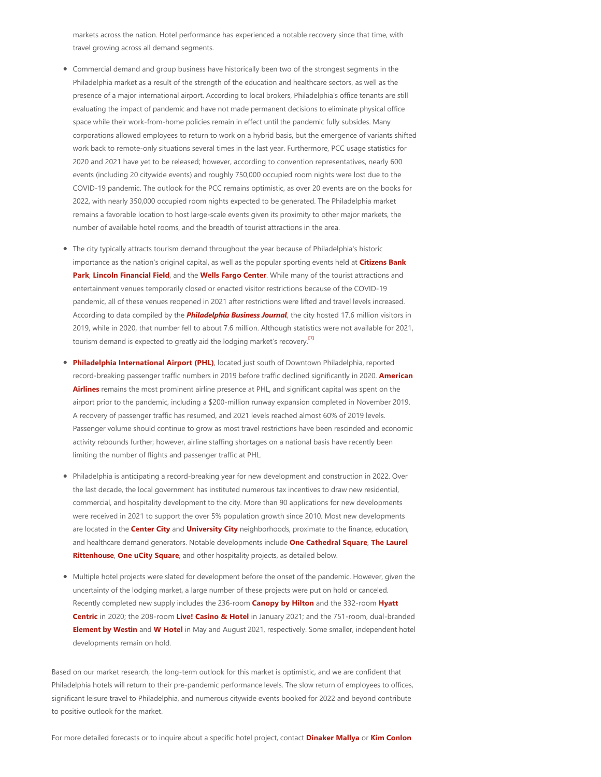markets across the nation. Hotel performance has experienced a notable recovery since that time, with travel growing across all demand segments.

- Commercial demand and group business have historically been two of the strongest segments in the Philadelphia market as a result of the strength of the education and healthcare sectors, as well as the presence of a major international airport. According to local brokers, Philadelphia's office tenants are still evaluating the impact of pandemic and have not made permanent decisions to eliminate physical office space while their work‐from‐home policies remain in effect until the pandemic fully subsides. Many corporations allowed employees to return to work on a hybrid basis, but the emergence of variants shifted work back to remote-only situations several times in the last year. Furthermore, PCC usage statistics for 2020 and 2021 have yet to be released; however, according to convention representatives, nearly 600 events (including 20 citywide events) and roughly 750,000 occupied room nights were lost due to the COVID‐19 pandemic. The outlook for the PCC remains optimistic, as over 20 events are on the books for 2022, with nearly 350,000 occupied room nights expected to be generated. The Philadelphia market remains a favorable location to host large-scale events given its proximity to other major markets, the number of available hotel rooms, and the breadth of tourist attractions in the area.
- The city typically attracts tourism demand throughout the year because of Philadelphia's historic importance as the nation's original capital, as well as the popular sporting events held at **Citizens Bank Park**, **Lincoln Financial Field**, and the **Wells Fargo Center**. While many of the tourist attractions and entertainment venues temporarily closed or enacted visitor restrictions because of the COVID‐19 pandemic, all of these venues reopened in 2021 after restrictions were lifted and travel levels increased. According to data compiled by the *Philadelphia Business Journal*, the city hosted 17.6 million visitors in 2019, while in 2020, that number fell to about 7.6 million. Although statistics were not available for 2021, tourism demand is expected to greatly aid the lodging market's recovery. **[\[1\]](#page-2-0)**
- <span id="page-1-0"></span>Philadelphia International Airport (PHL), located just south of Downtown Philadelphia, reported record‐breaking passenger traffic numbers in 2019 before traffic declined significantly in 2020. **American Airlines** remains the most prominent airline presence at PHL, and significant capital was spent on the airport prior to the pandemic, including a \$200‐million runway expansion completed in November 2019. A recovery of passenger traffic has resumed, and 2021 levels reached almost 60% of 2019 levels. Passenger volume should continue to grow as most travel restrictions have been rescinded and economic activity rebounds further; however, airline staffing shortages on a national basis have recently been limiting the number of flights and passenger traffic at PHL.
- Philadelphia is anticipating a record‐breaking year for new development and construction in 2022. Over the last decade, the local government has instituted numerous tax incentives to draw new residential, commercial, and hospitality development to the city. More than 90 applications for new developments were received in 2021 to support the over 5% population growth since 2010. Most new developments are located in the **Center City** and **University City** neighborhoods, proximate to the finance, education, and healthcare demand generators. Notable developments include **One Cathedral Square**, **The Laurel Rittenhouse**, **One uCity Square**, and other hospitality projects, as detailed below.
- Multiple hotel projects were slated for development before the onset of the pandemic. However, given the uncertainty of the lodging market, a large number of these projects were put on hold or canceled. Recently completed new supply includes the 236‐room **Canopy by Hilton** and the 332‐room **Hyatt Centric** in 2020; the 208‐room **Live! Casino & Hotel** in January 2021; and the 751‐room, dual‐branded **Element by Westin** and **W Hotel** in May and August 2021, respectively. Some smaller, independent hotel developments remain on hold.

Based on our market research, the long‐term outlook for this market is optimistic, and we are confident that Philadelphia hotels will return to their pre‐pandemic performance levels. The slow return of employees to offices, significant leisure travel to Philadelphia, and numerous citywide events booked for 2022 and beyond contribute to positive outlook for the market.

For more detailed forecasts or to inquire about a specific hotel project, contact **Dinaker Mallya** or **Kim Conlon**